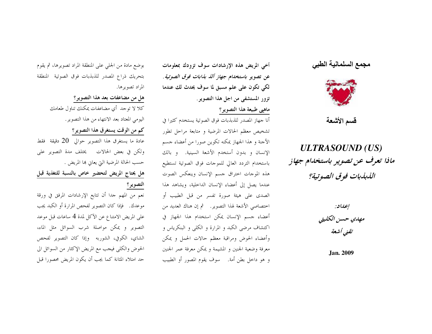## مجمع السلمانية الطبي



قسم الأشعة

## **ULTRASOUND** (US) ماذا تعرف عن تصوير باستخدام جهاز اللبلبات فوق الصوتية؟

إعداد: مهدي حسن الكليتي تقنى أشعة

Jan. 2009

أخي المريض هذه الإرشادات سوف تزودك بمعلومات عن تصوير باستخدام *جهاز ألذ بذابات فوق الصوتية*. لكي تكون على علم مسبق لما سوف يحدث لك عندما تزور المستشفى من اجل هذا التصوير . ماهيي طبيعة هذا التصوير؟

أنا جهاز المصدر للذبذبات فوق الصوتية يستخدم كثيرا في تشخيص معظم الحالات المرضية و متابعة مراحل تطور الأحنة و هذا الجهاز يمكنه تكوين صورا من أعضاء حسم الإنسان و بدون أستخدم الأشعة السينية. و بالك باستخدام التردد العالى للموحات فوق الصوتية تستطيع هذه الموجات اختراق جسم الإنسان وينعكس الصوت عندما يصل إلى أعضاء الإنسان الداحلية، ويشاهد هذا الصدي على هيئة صورة تفسر من قبل الطبيب أو اختصاصي الأشعة لهذا التصوير. ثم إن هناك العديد من أعضاء حسم الإنسان يمكن استخدام هذا الجهاز في اكتشاف مرضى الكبد و المرارة و الكلى و البنكرياس و وأعضاء الحوض ومراقبة معظم حالات الحمل ويمكن معرفة وضعية الجنين و المشيمة و يمكن معرفة عمر الجنين و هو داخل بطن أمة. ﴿ سَوْفَ يَقُومُ الْمَصُورِ أَوْ الطَّبِيبِ

بوضع مادة من الجلبي على المنطقة المراد تصويرها، ثم يقوم بتحريك ذراع المصدر للذبذبات فوق الصوتية المنطقة المراد تصويرها. هل من مضاعفات بعد هذا التصوير؟ كلا لا توجد أي مضاعفات يمكنك تناول طعامك

اليومي المعتاد بعد الانتهاء من هذا التصوير. كم من الوقت يستغرق هذا التصوير؟ عادة ما يستغرق هذا التصوير حوالي  $20$  دقيقة فقط ولكن في بعض الحالات يختلف مدة التصوير على حسب الحالة المرضية التي يعانٍ ها المريض .

هل يحتاج المريض لتحضير خاص بالنسبة للتغذية قبل التصوير؟

نعم من المهم حدا أن تتابع الإرشادات المرفق في ورقة موعدك. فإذا كان التصوير لفحص المرارة أو الكبد يجب على المريض الامتناع عن الآكل لمدة 4 ساعات قبل موعد التصوير ويمكن مواصلة شرب السوائل مثل الماء، الشاي، الكوفي، الشوربه وإذا كان التصوير لفحص الحوض والكلي فيجب مع المريض الإكثار من السوائل الي حد امتلاء المثانة كما يجب أن يكون المريض محصورا قبل